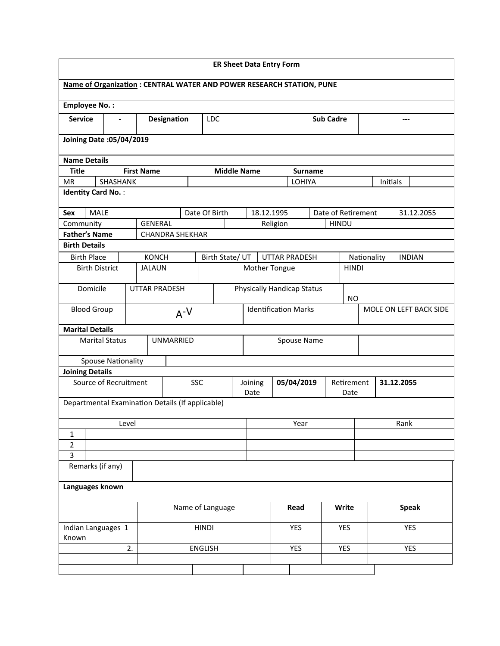| <b>ER Sheet Data Entry Form</b>                                             |                   |                        |            |                  |                             |                 |                                   |                |                        |              |             |          |               |
|-----------------------------------------------------------------------------|-------------------|------------------------|------------|------------------|-----------------------------|-----------------|-----------------------------------|----------------|------------------------|--------------|-------------|----------|---------------|
| <b>Name of Organization: CENTRAL WATER AND POWER RESEARCH STATION, PUNE</b> |                   |                        |            |                  |                             |                 |                                   |                |                        |              |             |          |               |
| <b>Employee No.:</b>                                                        |                   |                        |            |                  |                             |                 |                                   |                |                        |              |             |          |               |
| <b>Service</b><br>$\overline{\phantom{a}}$                                  |                   | Designation            |            | <b>LDC</b>       |                             |                 |                                   |                | <b>Sub Cadre</b>       |              |             |          | $---$         |
| Joining Date: 05/04/2019                                                    |                   |                        |            |                  |                             |                 |                                   |                |                        |              |             |          |               |
| <b>Name Details</b>                                                         |                   |                        |            |                  |                             |                 |                                   |                |                        |              |             |          |               |
| <b>Title</b>                                                                | <b>First Name</b> |                        |            |                  | <b>Middle Name</b>          |                 |                                   | <b>Surname</b> |                        |              |             |          |               |
| SHASHANK<br><b>MR</b>                                                       |                   |                        |            |                  |                             |                 |                                   | LOHIYA         |                        |              |             | Initials |               |
| <b>Identity Card No.:</b>                                                   |                   |                        |            |                  |                             |                 |                                   |                |                        |              |             |          |               |
| <b>MALE</b><br>Sex                                                          |                   |                        |            | Date Of Birth    |                             |                 | 18.12.1995                        |                | Date of Retirement     |              |             |          | 31.12.2055    |
| Community                                                                   |                   | <b>GENERAL</b>         |            |                  |                             |                 | Religion                          |                | <b>HINDU</b>           |              |             |          |               |
| <b>Father's Name</b>                                                        |                   | <b>CHANDRA SHEKHAR</b> |            |                  |                             |                 |                                   |                |                        |              |             |          |               |
| <b>Birth Details</b>                                                        |                   |                        |            |                  |                             |                 |                                   |                |                        |              |             |          |               |
| <b>Birth Place</b>                                                          |                   | <b>KONCH</b>           |            | Birth State/ UT  |                             |                 | <b>UTTAR PRADESH</b>              |                |                        |              | Nationality |          | <b>INDIAN</b> |
| <b>Birth District</b>                                                       |                   | <b>JALAUN</b>          |            |                  |                             |                 | Mother Tongue                     |                |                        | <b>HINDI</b> |             |          |               |
| Domicile                                                                    |                   | <b>UTTAR PRADESH</b>   |            |                  |                             |                 | <b>Physically Handicap Status</b> |                |                        | <b>NO</b>    |             |          |               |
| <b>Blood Group</b><br>$A^{-V}$                                              |                   |                        |            |                  | <b>Identification Marks</b> |                 |                                   |                | MOLE ON LEFT BACK SIDE |              |             |          |               |
| <b>Marital Details</b>                                                      |                   |                        |            |                  |                             |                 |                                   |                |                        |              |             |          |               |
| <b>Marital Status</b>                                                       |                   | <b>UNMARRIED</b>       |            |                  |                             | Spouse Name     |                                   |                |                        |              |             |          |               |
| <b>Spouse Nationality</b>                                                   |                   |                        |            |                  |                             |                 |                                   |                |                        |              |             |          |               |
| <b>Joining Details</b>                                                      |                   |                        |            |                  |                             |                 |                                   |                |                        |              |             |          |               |
| Source of Recruitment                                                       |                   |                        | <b>SSC</b> |                  |                             | Joining<br>Date | 05/04/2019<br>Retirement<br>Date  |                |                        | 31.12.2055   |             |          |               |
| Departmental Examination Details (If applicable)                            |                   |                        |            |                  |                             |                 |                                   |                |                        |              |             |          |               |
|                                                                             | Level             |                        |            |                  |                             | Year            |                                   |                | Rank                   |              |             |          |               |
| $\mathbf{1}$                                                                |                   |                        |            |                  |                             |                 |                                   |                |                        |              |             |          |               |
| $\overline{2}$                                                              |                   |                        |            |                  |                             |                 |                                   |                |                        |              |             |          |               |
| $\mathsf{3}$                                                                |                   |                        |            |                  |                             |                 |                                   |                |                        |              |             |          |               |
| Remarks (if any)                                                            |                   |                        |            |                  |                             |                 |                                   |                |                        |              |             |          |               |
| Languages known                                                             |                   |                        |            |                  |                             |                 |                                   |                |                        |              |             |          |               |
|                                                                             |                   |                        |            | Name of Language |                             |                 |                                   | Read           |                        | Write        |             |          | <b>Speak</b>  |
| Indian Languages 1                                                          |                   |                        |            | <b>HINDI</b>     |                             |                 |                                   | YES            |                        | <b>YES</b>   |             |          | <b>YES</b>    |
| Known                                                                       | 2.                |                        |            | <b>ENGLISH</b>   |                             |                 |                                   | <b>YES</b>     |                        | <b>YES</b>   |             |          | <b>YES</b>    |
|                                                                             |                   |                        |            |                  |                             |                 |                                   |                |                        |              |             |          |               |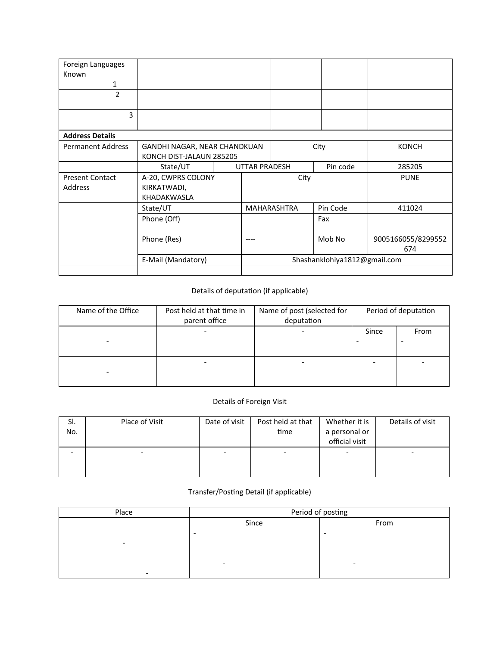| Foreign Languages        |                              |                      |                              |          |                           |  |
|--------------------------|------------------------------|----------------------|------------------------------|----------|---------------------------|--|
| Known                    |                              |                      |                              |          |                           |  |
| $\mathbf{1}$             |                              |                      |                              |          |                           |  |
| $\overline{2}$           |                              |                      |                              |          |                           |  |
| 3                        |                              |                      |                              |          |                           |  |
| <b>Address Details</b>   |                              |                      |                              |          |                           |  |
| <b>Permanent Address</b> | GANDHI NAGAR, NEAR CHANDKUAN |                      |                              | City     | <b>KONCH</b>              |  |
|                          | KONCH DIST-JALAUN 285205     |                      |                              |          |                           |  |
|                          | State/UT                     | <b>UTTAR PRADESH</b> |                              | Pin code | 285205                    |  |
| <b>Present Contact</b>   | A-20, CWPRS COLONY           |                      | City                         |          | <b>PUNE</b>               |  |
| <b>Address</b>           | KIRKATWADI,                  |                      |                              |          |                           |  |
|                          | KHADAKWASLA                  |                      |                              |          |                           |  |
|                          | State/UT                     |                      | MAHARASHTRA                  | Pin Code | 411024                    |  |
|                          | Phone (Off)                  |                      |                              | Fax      |                           |  |
|                          | Phone (Res)                  | ----                 |                              | Mob No   | 9005166055/8299552<br>674 |  |
|                          | E-Mail (Mandatory)           |                      | Shashanklohiya1812@gmail.com |          |                           |  |
|                          |                              |                      |                              |          |                           |  |

## Details of deputation (if applicable)

| Name of the Office | Post held at that time in<br>parent office | Name of post (selected for<br>deputation | Period of deputation |      |
|--------------------|--------------------------------------------|------------------------------------------|----------------------|------|
| -                  |                                            |                                          | Since                | From |
| -                  |                                            |                                          |                      |      |

## Details of Foreign Visit

| SI.<br>No. | Place of Visit | Date of visit | Post held at that<br>time | Whether it is<br>a personal or<br>official visit | Details of visit |
|------------|----------------|---------------|---------------------------|--------------------------------------------------|------------------|
|            |                |               | ۰                         |                                                  | -                |

## Transfer/Posting Detail (if applicable)

| Place                    | Period of posting |      |  |  |  |  |  |
|--------------------------|-------------------|------|--|--|--|--|--|
|                          | Since             | From |  |  |  |  |  |
|                          | -                 |      |  |  |  |  |  |
| $\overline{\phantom{0}}$ |                   |      |  |  |  |  |  |
|                          |                   |      |  |  |  |  |  |
|                          | -                 | -    |  |  |  |  |  |
|                          |                   |      |  |  |  |  |  |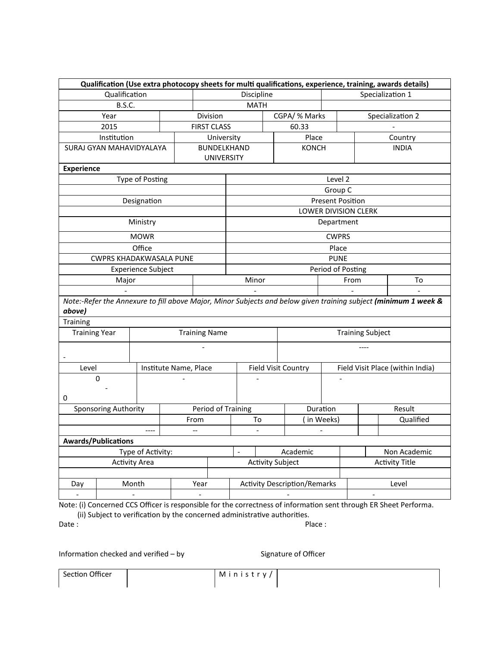|                            | Qualification (Use extra photocopy sheets for multi qualifications, experience, training, awards details)        |                       |                                  |                                              |  |                     |                              |                             |                                                                                                                 |  |
|----------------------------|------------------------------------------------------------------------------------------------------------------|-----------------------|----------------------------------|----------------------------------------------|--|---------------------|------------------------------|-----------------------------|-----------------------------------------------------------------------------------------------------------------|--|
| Qualification              |                                                                                                                  |                       |                                  | Discipline                                   |  |                     |                              |                             | Specialization 1                                                                                                |  |
|                            | <b>B.S.C.</b>                                                                                                    |                       |                                  | <b>MATH</b>                                  |  |                     |                              |                             |                                                                                                                 |  |
|                            | Year                                                                                                             |                       | Division                         |                                              |  | CGPA/ % Marks       |                              |                             | Specialization 2                                                                                                |  |
| 2015                       |                                                                                                                  |                       | <b>FIRST CLASS</b>               |                                              |  | 60.33               |                              |                             |                                                                                                                 |  |
|                            | Institution                                                                                                      |                       | University                       |                                              |  | Place               |                              |                             | Country                                                                                                         |  |
|                            | SURAJ GYAN MAHAVIDYALAYA                                                                                         |                       | BUNDELKHAND<br><b>UNIVERSITY</b> |                                              |  | <b>KONCH</b>        |                              |                             | <b>INDIA</b>                                                                                                    |  |
| <b>Experience</b>          |                                                                                                                  |                       |                                  |                                              |  |                     |                              |                             |                                                                                                                 |  |
|                            | <b>Type of Posting</b>                                                                                           |                       |                                  |                                              |  |                     | Level 2                      |                             |                                                                                                                 |  |
|                            |                                                                                                                  |                       |                                  |                                              |  |                     | Group C                      |                             |                                                                                                                 |  |
|                            | Designation                                                                                                      |                       |                                  |                                              |  |                     | <b>Present Position</b>      |                             |                                                                                                                 |  |
|                            |                                                                                                                  |                       |                                  |                                              |  |                     |                              | <b>LOWER DIVISION CLERK</b> |                                                                                                                 |  |
|                            | Ministry                                                                                                         |                       |                                  |                                              |  |                     | Department                   |                             |                                                                                                                 |  |
|                            | <b>MOWR</b>                                                                                                      |                       |                                  |                                              |  |                     | <b>CWPRS</b>                 |                             |                                                                                                                 |  |
|                            | Office                                                                                                           |                       |                                  |                                              |  |                     | Place                        |                             |                                                                                                                 |  |
|                            | <b>CWPRS KHADAKWASALA PUNE</b>                                                                                   |                       |                                  | <b>PUNE</b>                                  |  |                     |                              |                             |                                                                                                                 |  |
|                            | <b>Experience Subject</b>                                                                                        |                       |                                  | Period of Posting                            |  |                     |                              |                             |                                                                                                                 |  |
|                            | Major                                                                                                            |                       |                                  | Minor                                        |  |                     |                              | From                        | To                                                                                                              |  |
|                            |                                                                                                                  |                       |                                  |                                              |  |                     |                              |                             |                                                                                                                 |  |
| above)                     |                                                                                                                  |                       |                                  |                                              |  |                     |                              |                             | Note:-Refer the Annexure to fill above Major, Minor Subjects and below given training subject (minimum 1 week & |  |
| Training                   |                                                                                                                  |                       |                                  |                                              |  |                     |                              |                             |                                                                                                                 |  |
| <b>Training Year</b>       |                                                                                                                  |                       | <b>Training Name</b>             | <b>Training Subject</b>                      |  |                     |                              |                             |                                                                                                                 |  |
|                            |                                                                                                                  |                       |                                  |                                              |  |                     |                              |                             |                                                                                                                 |  |
| Level                      |                                                                                                                  | Institute Name, Place |                                  |                                              |  | Field Visit Country |                              |                             | Field Visit Place (within India)                                                                                |  |
| $\mathbf 0$                |                                                                                                                  |                       |                                  |                                              |  |                     |                              |                             |                                                                                                                 |  |
| 0                          |                                                                                                                  |                       |                                  |                                              |  |                     |                              |                             |                                                                                                                 |  |
|                            | <b>Sponsoring Authority</b>                                                                                      |                       | Period of Training               |                                              |  |                     | Duration                     |                             | Result                                                                                                          |  |
|                            |                                                                                                                  |                       | From                             | To                                           |  | (in Weeks)          |                              |                             | Qualified                                                                                                       |  |
| $---$<br>--                |                                                                                                                  |                       |                                  | $\overline{\phantom{a}}$                     |  |                     | $\qquad \qquad \blacksquare$ |                             |                                                                                                                 |  |
| <b>Awards/Publications</b> |                                                                                                                  |                       |                                  |                                              |  |                     |                              |                             |                                                                                                                 |  |
|                            | Type of Activity:                                                                                                |                       |                                  | $\overline{a}$                               |  | Academic            |                              |                             | Non Academic                                                                                                    |  |
|                            | <b>Activity Subject</b>                                                                                          |                       |                                  | <b>Activity Title</b>                        |  |                     |                              |                             |                                                                                                                 |  |
|                            |                                                                                                                  |                       |                                  |                                              |  |                     |                              |                             |                                                                                                                 |  |
| Day                        | Month<br>Year                                                                                                    |                       |                                  | <b>Activity Description/Remarks</b><br>Level |  |                     |                              |                             |                                                                                                                 |  |
|                            |                                                                                                                  |                       |                                  |                                              |  |                     |                              |                             |                                                                                                                 |  |
|                            | Note: (i) Concerned CCS Officer is responsible for the correctness of information sent through ER Sheet Performa |                       |                                  |                                              |  |                     |                              |                             |                                                                                                                 |  |

Note: (i) Concerned CCS Officer is responsible for the correctness of information sent through ER Sheet Performa.

 (ii) Subject to verification by the concerned administrative authorities. Date : Place : Place : Place : Place : Place : Place : Place : Place : Place : Place : Place : Place : Place : Place : Place : Place : Place : Place : Place : Place : Place : Place : Place : Place : Place : Place : Place :

Information checked and verified  $-$  by  $Signature of Officer$ 

Section Officer Ministry/